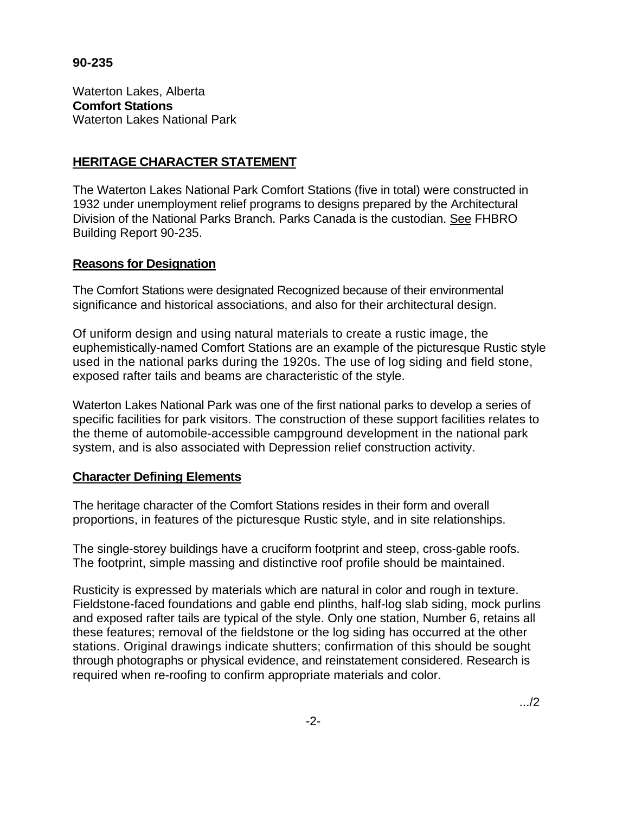## **90-235**

Waterton Lakes, Alberta **Comfort Stations**  Waterton Lakes National Park

## **HERITAGE CHARACTER STATEMENT**

The Waterton Lakes National Park Comfort Stations (five in total) were constructed in 1932 under unemployment relief programs to designs prepared by the Architectural Division of the National Parks Branch. Parks Canada is the custodian. See FHBRO Building Report 90-235.

## **Reasons for Designation**

The Comfort Stations were designated Recognized because of their environmental significance and historical associations, and also for their architectural design.

Of uniform design and using natural materials to create a rustic image, the euphemistically-named Comfort Stations are an example of the picturesque Rustic style used in the national parks during the 1920s. The use of log siding and field stone, exposed rafter tails and beams are characteristic of the style.

Waterton Lakes National Park was one of the first national parks to develop a series of specific facilities for park visitors. The construction of these support facilities relates to the theme of automobile-accessible campground development in the national park system, and is also associated with Depression relief construction activity.

## **Character Defining Elements**

The heritage character of the Comfort Stations resides in their form and overall proportions, in features of the picturesque Rustic style, and in site relationships.

The single-storey buildings have a cruciform footprint and steep, cross-gable roofs. The footprint, simple massing and distinctive roof profile should be maintained.

Rusticity is expressed by materials which are natural in color and rough in texture. Fieldstone-faced foundations and gable end plinths, half-log slab siding, mock purlins and exposed rafter tails are typical of the style. Only one station, Number 6, retains all these features; removal of the fieldstone or the log siding has occurred at the other stations. Original drawings indicate shutters; confirmation of this should be sought through photographs or physical evidence, and reinstatement considered. Research is required when re-roofing to confirm appropriate materials and color.